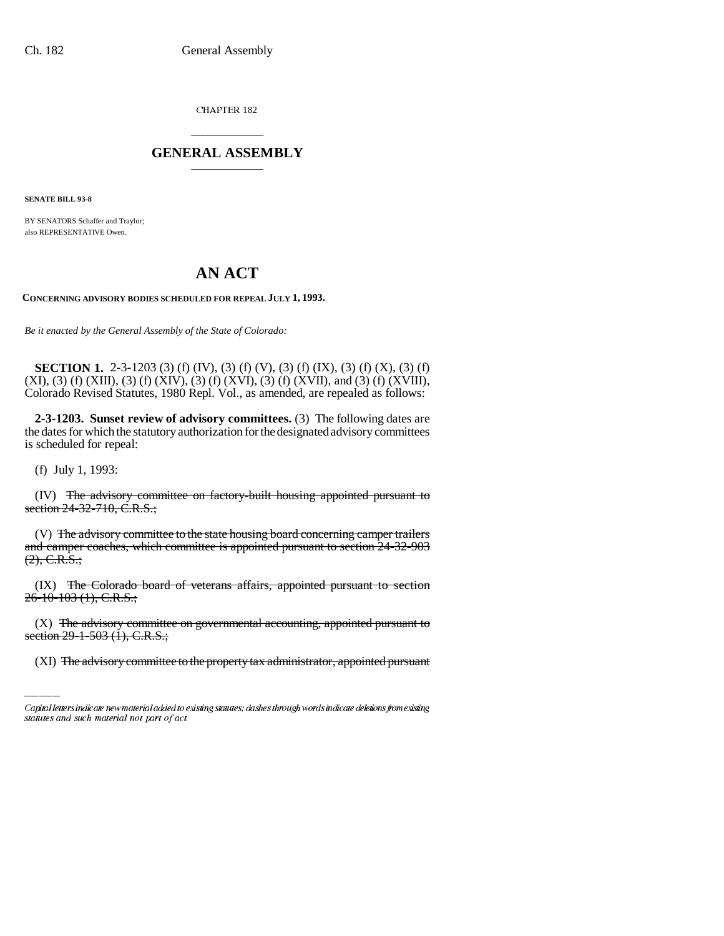CHAPTER 182

## \_\_\_\_\_\_\_\_\_\_\_\_\_\_\_ **GENERAL ASSEMBLY** \_\_\_\_\_\_\_\_\_\_\_\_\_\_\_

**SENATE BILL 93-8**

BY SENATORS Schaffer and Traylor; also REPRESENTATIVE Owen.

## **AN ACT**

**CONCERNING ADVISORY BODIES SCHEDULED FOR REPEAL JULY 1, 1993.**

*Be it enacted by the General Assembly of the State of Colorado:*

**SECTION 1.** 2-3-1203 (3) (f) (IV), (3) (f) (V), (3) (f) (IX), (3) (f) (X), (3) (f) (XI), (3) (f) (XIII), (3) (f) (XIV), (3) (f) (XVI), (3) (f) (XVII), and (3) (f) (XVIII), Colorado Revised Statutes, 1980 Repl. Vol., as amended, are repealed as follows:

**2-3-1203. Sunset review of advisory committees.** (3) The following dates are the dates for which the statutory authorization for the designated advisory committees is scheduled for repeal:

(f) July 1, 1993:

(IV) The advisory committee on factory-built housing appointed pursuant to section 24-32-710, C.R.S.;

(V) The advisory committee to the state housing board concerning camper trailers and camper coaches, which committee is appointed pursuant to section 24-32-903  $(2), \text{C.R.S.};$ 

26-10-103 (1), C.R.S.; (IX) The Colorado board of veterans affairs, appointed pursuant to section

 $(X)$  The advisory committee on governmental accounting, appointed pursuant to section 29-1-503 (1), C.R.S.;

(XI) The advisory committee to the property tax administrator, appointed pursuant

Capital letters indicate new material added to existing statutes; dashes through words indicate deletions from existing statutes and such material not part of act.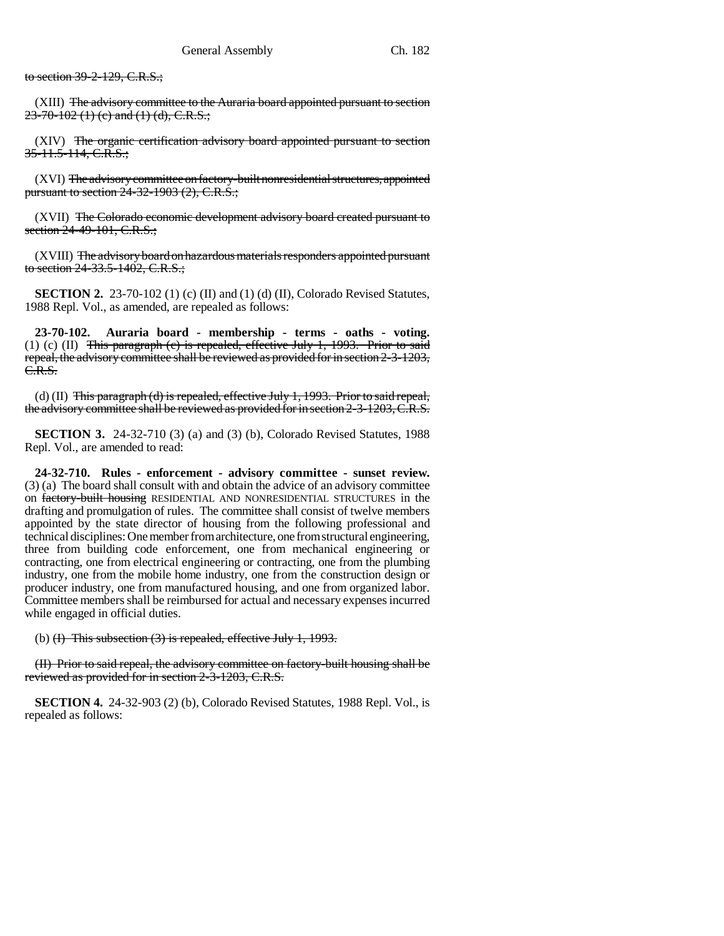to section 39-2-129, C.R.S.;

(XIII) The advisory committee to the Auraria board appointed pursuant to section  $23-70-102$  (1) (c) and (1) (d), C.R.S.;

(XIV) The organic certification advisory board appointed pursuant to section 35-11.5-114, C.R.S.:

(XVI) The advisory committee on factory-built nonresidential structures, appointed pursuant to section 24-32-1903 (2), C.R.S.;

(XVII) The Colorado economic development advisory board created pursuant to section 24-49-101, C.R.S.;

(XVIII) The advisory board on hazardous materials responders appointed pursuant to section 24-33.5-1402, C.R.S.;

**SECTION 2.** 23-70-102 (1) (c) (II) and (1) (d) (II), Colorado Revised Statutes, 1988 Repl. Vol., as amended, are repealed as follows:

**23-70-102. Auraria board - membership - terms - oaths - voting.** (1) (c) (II) This paragraph (c) is repealed, effective July 1, 1993. Prior to said repeal, the advisory committee shall be reviewed as provided for in section 2-3-1203, C.R.S.

(d) (II)  $\overline{\text{This paragraph}}$  (d) is repealed, effective July 1, 1993. Prior to said repeal, the advisory committee shall be reviewed as provided for in section 2-3-1203, C.R.S.

**SECTION 3.** 24-32-710 (3) (a) and (3) (b), Colorado Revised Statutes, 1988 Repl. Vol., are amended to read:

**24-32-710. Rules - enforcement - advisory committee - sunset review.** (3) (a) The board shall consult with and obtain the advice of an advisory committee on factory-built housing RESIDENTIAL AND NONRESIDENTIAL STRUCTURES in the drafting and promulgation of rules. The committee shall consist of twelve members appointed by the state director of housing from the following professional and technical disciplines: One member from architecture, one from structural engineering, three from building code enforcement, one from mechanical engineering or contracting, one from electrical engineering or contracting, one from the plumbing industry, one from the mobile home industry, one from the construction design or producer industry, one from manufactured housing, and one from organized labor. Committee members shall be reimbursed for actual and necessary expenses incurred while engaged in official duties.

(b)  $(H)$  This subsection  $(3)$  is repealed, effective July 1, 1993.

(II) Prior to said repeal, the advisory committee on factory-built housing shall be reviewed as provided for in section 2-3-1203, C.R.S.

**SECTION 4.** 24-32-903 (2) (b), Colorado Revised Statutes, 1988 Repl. Vol., is repealed as follows: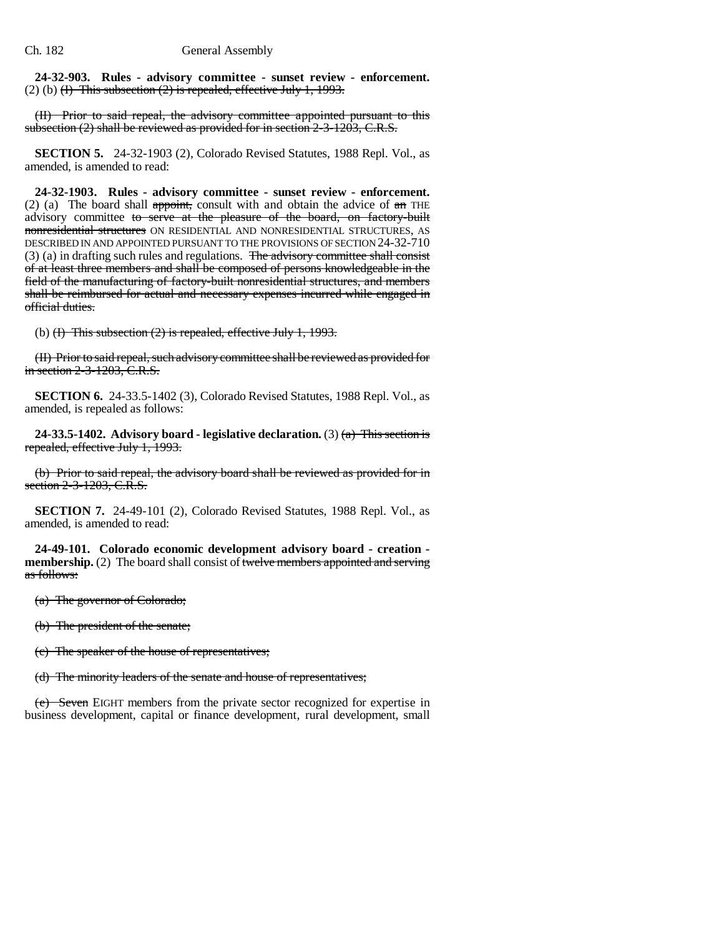**24-32-903. Rules - advisory committee - sunset review - enforcement.** (2) (b)  $(H)$  This subsection  $(2)$  is repealed, effective July 1, 1993.

(II) Prior to said repeal, the advisory committee appointed pursuant to this subsection (2) shall be reviewed as provided for in section 2-3-1203, C.R.S.

**SECTION 5.** 24-32-1903 (2), Colorado Revised Statutes, 1988 Repl. Vol., as amended, is amended to read:

**24-32-1903. Rules - advisory committee - sunset review - enforcement.** (2) (a) The board shall appoint, consult with and obtain the advice of  $\theta$  THE advisory committee to serve at the pleasure of the board, on factory-built nonresidential structures ON RESIDENTIAL AND NONRESIDENTIAL STRUCTURES, AS DESCRIBED IN AND APPOINTED PURSUANT TO THE PROVISIONS OF SECTION 24-32-710 (3) (a) in drafting such rules and regulations. The advisory committee shall consist of at least three members and shall be composed of persons knowledgeable in the field of the manufacturing of factory-built nonresidential structures, and members shall be reimbursed for actual and necessary expenses incurred while engaged in official duties.

(b)  $(H)$  This subsection  $(2)$  is repealed, effective July 1, 1993.

(II) Prior to said repeal, such advisory committee shall be reviewed as provided for in section 2-3-1203, C.R.S.

**SECTION 6.** 24-33.5-1402 (3), Colorado Revised Statutes, 1988 Repl. Vol., as amended, is repealed as follows:

**24-33.5-1402. Advisory board - legislative declaration.** (3) (a) This section is repealed, effective July 1, 1993.

(b) Prior to said repeal, the advisory board shall be reviewed as provided for in section 2-3-1203, C.R.S.

**SECTION 7.** 24-49-101 (2), Colorado Revised Statutes, 1988 Repl. Vol., as amended, is amended to read:

**24-49-101. Colorado economic development advisory board - creation membership.** (2) The board shall consist of twelve members appointed and serving as follows:

(a) The governor of Colorado;

(b) The president of the senate;

(c) The speaker of the house of representatives;

(d) The minority leaders of the senate and house of representatives;

(e) Seven EIGHT members from the private sector recognized for expertise in business development, capital or finance development, rural development, small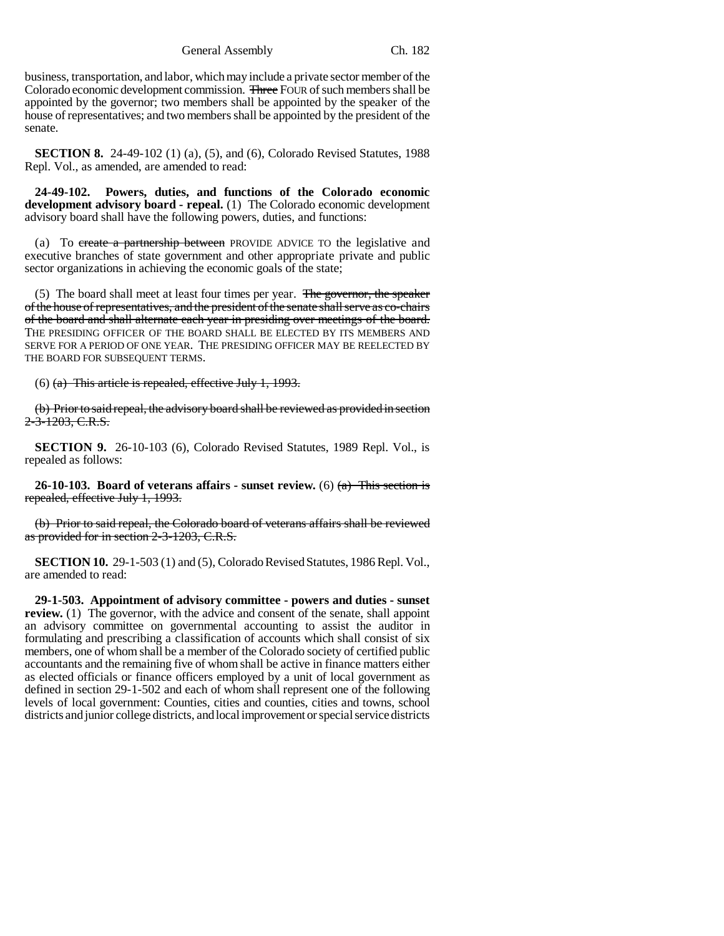General Assembly Ch. 182

business, transportation, and labor, which may include a private sector member of the Colorado economic development commission. Three FOUR of such members shall be appointed by the governor; two members shall be appointed by the speaker of the house of representatives; and two members shall be appointed by the president of the senate.

**SECTION 8.** 24-49-102 (1) (a), (5), and (6), Colorado Revised Statutes, 1988 Repl. Vol., as amended, are amended to read:

**24-49-102. Powers, duties, and functions of the Colorado economic development advisory board - repeal.** (1) The Colorado economic development advisory board shall have the following powers, duties, and functions:

(a) To create a partnership between PROVIDE ADVICE TO the legislative and executive branches of state government and other appropriate private and public sector organizations in achieving the economic goals of the state;

(5) The board shall meet at least four times per year. The governor, the speaker of the house of representatives, and the president of the senate shall serve as co-chairs of the board and shall alternate each year in presiding over meetings of the board. THE PRESIDING OFFICER OF THE BOARD SHALL BE ELECTED BY ITS MEMBERS AND SERVE FOR A PERIOD OF ONE YEAR. THE PRESIDING OFFICER MAY BE REELECTED BY THE BOARD FOR SUBSEQUENT TERMS.

(6) (a) This article is repealed, effective July 1, 1993.

(b) Prior to said repeal, the advisory board shall be reviewed as provided in section 2-3-1203, C.R.S.

**SECTION 9.** 26-10-103 (6), Colorado Revised Statutes, 1989 Repl. Vol., is repealed as follows:

**26-10-103. Board of veterans affairs - sunset review.** (6) (a) This section is repealed, effective July 1, 1993.

(b) Prior to said repeal, the Colorado board of veterans affairs shall be reviewed as provided for in section 2-3-1203, C.R.S.

**SECTION 10.** 29-1-503 (1) and (5), Colorado Revised Statutes, 1986 Repl. Vol., are amended to read:

**29-1-503. Appointment of advisory committee - powers and duties - sunset review.** (1) The governor, with the advice and consent of the senate, shall appoint an advisory committee on governmental accounting to assist the auditor in formulating and prescribing a classification of accounts which shall consist of six members, one of whom shall be a member of the Colorado society of certified public accountants and the remaining five of whom shall be active in finance matters either as elected officials or finance officers employed by a unit of local government as defined in section 29-1-502 and each of whom shall represent one of the following levels of local government: Counties, cities and counties, cities and towns, school districts and junior college districts, and local improvement or special service districts